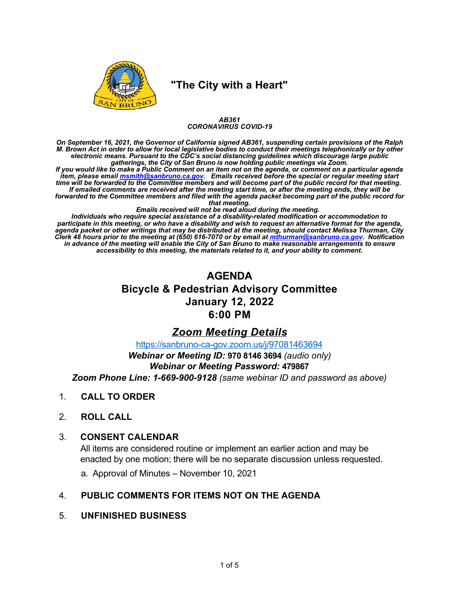

## **"The City with a Heart"**

#### *AB361 CORONAVIRUS COVID19*

*On September 16, 2021, the Governor of California signed AB361, suspending certain provisions of the Ralph M. Brown Act in order to allow for local legislative bodies to conduct their meetings telephonically or by other electronic means. Pursuant to the CDC's social distancing guidelines which discourage large public gatherings, the City of San Bruno is now holding public meetings via Zoom.*

*If you would like to make a Public Comment on an item not on the agenda, or comment on a particular agenda item, please email [msmith@sanbruno.ca.gov.](mailto:msmith@sanbruno.ca.gov) Emails received before the special or regular meeting start time will be forwarded to the Committee members and will become part of the public record for that meeting. If emailed comments are received after the meeting start time, or after the meeting ends, they will be forwarded to the Committee members and filed with the agenda packet becoming part of the public record for*

*that meeting.*

*Emails received will not be read aloud during the meeting.* 

*Individuals who require special assistance of a disabilityrelated modification or accommodation to participate in this meeting, or who have a disability and wish to request an alternative format for the agenda, agenda packet or other writings that may be distributed at the meeting, should contact Melissa Thurman, City Clerk 48 hours prior to the meeting at (650) 6167070 or by email at [mthurman@sanbruno.ca.gov.](mailto:mthurman@sanbruno.ca.gov) Notification in advance of the meeting will enable the City of San Bruno to make reasonable arrangements to ensure accessibility to this meeting, the materials related to it, and your ability to comment.*

# **AGENDA Bicycle & Pedestrian Advisory Committee January 12, 2022 6:00 PM**

## *Zoom Meeting Details*

https://sanbruno-ca-gov.zoom.us/j/97081463694

*Webinar or Meeting ID:* **970 8146 3694** *(audio only)*

*Webinar or Meeting Password:* **479867**

*Zoom Phone Line: 16699009128 (same webinar ID and password as above)*

- 1. **CALL TO ORDER**
- 2. **ROLL CALL**

#### 3. **CONSENT CALENDAR**

All items are considered routine or implement an earlier action and may be enacted by one motion; there will be no separate discussion unless requested.

a. Approval of Minutes – November 10, 2021

- 4. **PUBLIC COMMENTS FOR ITEMS NOT ON THE AGENDA**
- 5. **UNFINISHED BUSINESS**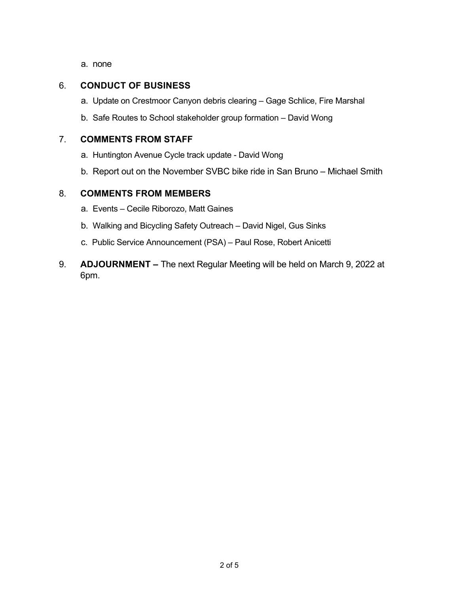a. none

#### 6. **CONDUCT OF BUSINESS**

- a. Update on Crestmoor Canyon debris clearing Gage Schlice, Fire Marshal
- b. Safe Routes to School stakeholder group formation David Wong

#### 7. **COMMENTS FROM STAFF**

- a. Huntington Avenue Cycle track update David Wong
- b. Report out on the November SVBC bike ride in San Bruno Michael Smith

#### 8. **COMMENTS FROM MEMBERS**

- a. Events Cecile Riborozo, Matt Gaines
- b. Walking and Bicycling Safety Outreach David Nigel, Gus Sinks
- c. Public Service Announcement (PSA) Paul Rose, Robert Anicetti
- 9. **ADJOURNMENT** The next Regular Meeting will be held on March 9, 2022 at 6pm.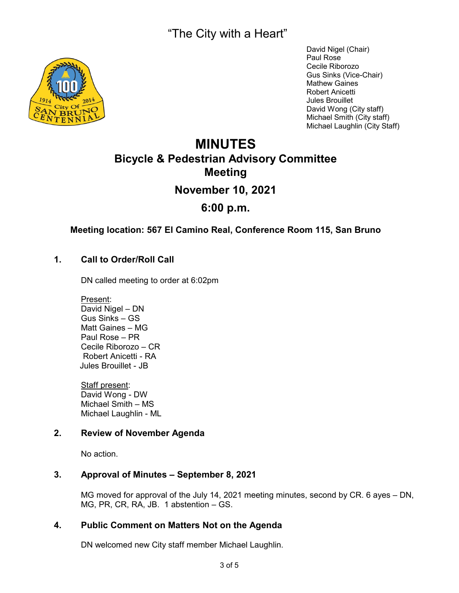"The City with a Heart"



David Nigel (Chair) Paul Rose Cecile Riborozo Gus Sinks (Vice-Chair) Mathew Gaines Robert Anicetti Jules Brouillet David Wong (City staff) Michael Smith (City staff) Michael Laughlin (City Staff)

# **MINUTES Bicycle & Pedestrian Advisory Committee Meeting November 10, 2021 6:00 p.m.**

#### **Meeting location: 567 El Camino Real, Conference Room 115, San Bruno**

#### **1. Call to Order/Roll Call**

DN called meeting to order at 6:02pm

Present: David Nigel – DN Gus Sinks – GS Matt Gaines – MG Paul Rose – PR Cecile Riborozo – CR Robert Anicetti - RA Jules Brouillet - JB

Staff present: David Wong - DW Michael Smith – MS Michael Laughlin - ML

#### **2. Review of November Agenda**

No action.

#### **3. Approval of Minutes – September 8, 2021**

MG moved for approval of the July 14, 2021 meeting minutes, second by CR. 6 ayes – DN, MG, PR, CR, RA, JB. 1 abstention – GS.

#### **4. Public Comment on Matters Not on the Agenda**

DN welcomed new City staff member Michael Laughlin.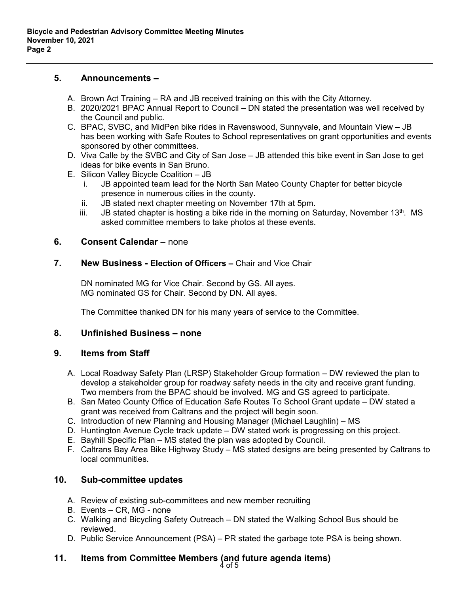#### **5. Announcements –**

- A. Brown Act Training RA and JB received training on this with the City Attorney.
- B. 2020/2021 BPAC Annual Report to Council DN stated the presentation was well received by the Council and public.
- C. BPAC, SVBC, and MidPen bike rides in Ravenswood, Sunnyvale, and Mountain View JB has been working with Safe Routes to School representatives on grant opportunities and events sponsored by other committees.
- D. Viva Calle by the SVBC and City of San Jose JB attended this bike event in San Jose to get ideas for bike events in San Bruno.
- E. Silicon Valley Bicycle Coalition JB
	- i. JB appointed team lead for the North San Mateo County Chapter for better bicycle presence in numerous cities in the county.
	- ii. JB stated next chapter meeting on November 17th at 5pm.
	- iii. JB stated chapter is hosting a bike ride in the morning on Saturday, November  $13<sup>th</sup>$ . MS asked committee members to take photos at these events.

#### **6.** Consent Calendar – none

#### **7. New Business - Election of Officers –** Chair and Vice Chair

DN nominated MG for Vice Chair. Second by GS. All ayes. MG nominated GS for Chair. Second by DN. All ayes.

The Committee thanked DN for his many years of service to the Committee.

#### **8. Unfinished Business – none**

#### **9. Items from Staff**

- A. Local Roadway Safety Plan (LRSP) Stakeholder Group formation DW reviewed the plan to develop a stakeholder group for roadway safety needs in the city and receive grant funding. Two members from the BPAC should be involved. MG and GS agreed to participate.
- B. San Mateo County Office of Education Safe Routes To School Grant update DW stated a grant was received from Caltrans and the project will begin soon.
- C. Introduction of new Planning and Housing Manager (Michael Laughlin) MS
- D. Huntington Avenue Cycle track update DW stated work is progressing on this project.
- E. [Bayhill](https://d4bikehighwaystudy.org/) Specific Plan MS stated the plan was adopted by Council.
- F. [Caltrans Bay Area Bike Highway Study](https://d4bikehighwaystudy.org/) MS stated designs are being presented by Caltrans to local communities.

#### **10. Sub-committee updates**

- A. Review of existing sub-committees and new member recruiting
- B. Events CR, MG none
- C. Walking and Bicycling Safety Outreach DN stated the Walking School Bus should be reviewed.
- D. Public Service Announcement (PSA) PR stated the garbage tote PSA is being shown.

#### **11. Items from Committee Members (and future agenda items)** 4 of 5